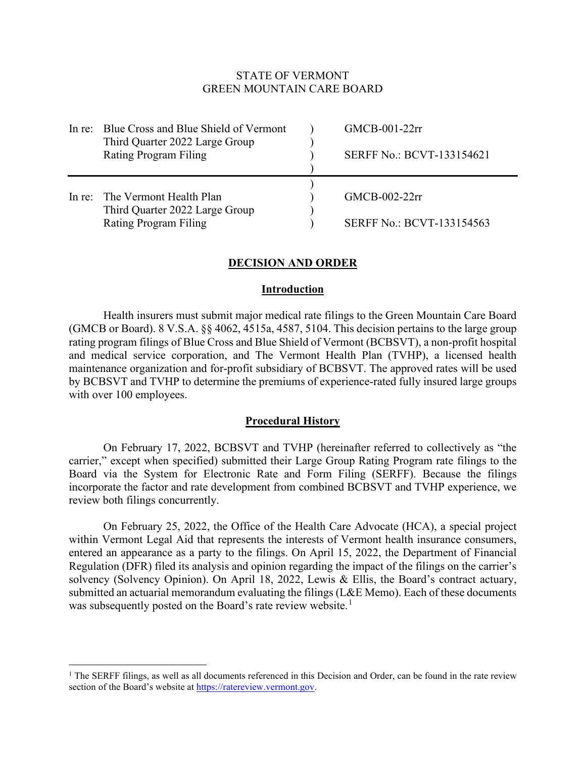# STATE OF VERMONT GREEN MOUNTAIN CARE BOARD

| In re: Blue Cross and Blue Shield of Vermont<br>Third Quarter 2022 Large Group<br>Rating Program Filing | $GMCB-001-22rr$<br><b>SERFF No.: BCVT-133154621</b> |
|---------------------------------------------------------------------------------------------------------|-----------------------------------------------------|
| In re: The Vermont Health Plan<br>Third Quarter 2022 Large Group<br>Rating Program Filing               | $GMCB-002-22rr$<br><b>SERFF No.: BCVT-133154563</b> |

# **DECISION AND ORDER**

## **Introduction**

Health insurers must submit major medical rate filings to the Green Mountain Care Board (GMCB or Board). 8 V.S.A. §§ 4062, 4515a, 4587, 5104. This decision pertains to the large group rating program filings of Blue Cross and Blue Shield of Vermont (BCBSVT), a non-profit hospital and medical service corporation, and The Vermont Health Plan (TVHP), a licensed health maintenance organization and for-profit subsidiary of BCBSVT. The approved rates will be used by BCBSVT and TVHP to determine the premiums of experience-rated fully insured large groups with over 100 employees.

#### **Procedural History**

On February 17, 2022, BCBSVT and TVHP (hereinafter referred to collectively as "the carrier," except when specified) submitted their Large Group Rating Program rate filings to the Board via the System for Electronic Rate and Form Filing (SERFF). Because the filings incorporate the factor and rate development from combined BCBSVT and TVHP experience, we review both filings concurrently.

On February 25, 2022, the Office of the Health Care Advocate (HCA), a special project within Vermont Legal Aid that represents the interests of Vermont health insurance consumers, entered an appearance as a party to the filings. On April 15, 2022, the Department of Financial Regulation (DFR) filed its analysis and opinion regarding the impact of the filings on the carrier's solvency (Solvency Opinion). On April 18, 2022, Lewis & Ellis, the Board's contract actuary, submitted an actuarial memorandum evaluating the filings (L&E Memo). Each of these documents was subsequently posted on the Board's rate review website.<sup>[1](#page-0-0)</sup>

<span id="page-0-0"></span><sup>&</sup>lt;sup>1</sup> The SERFF filings, as well as all documents referenced in this Decision and Order, can be found in the rate review section of the Board's website at [https://ratereview.vermont.gov.](https://ratereview.vermont.gov/)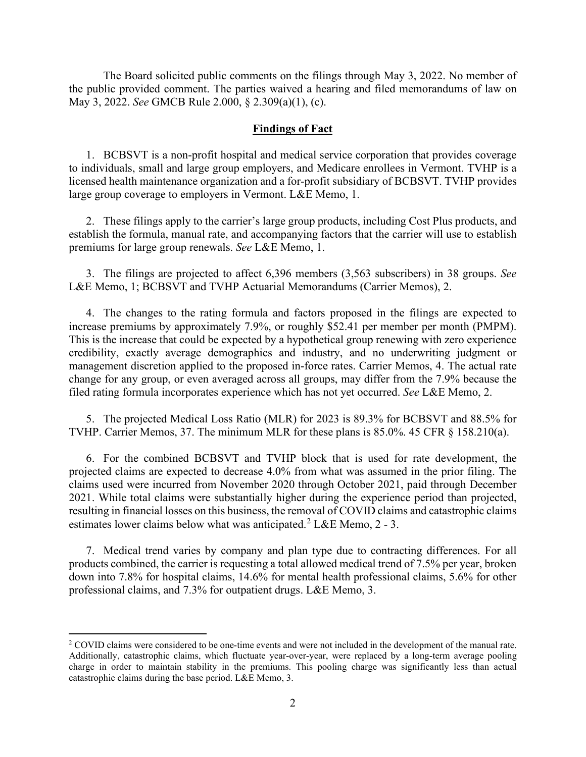The Board solicited public comments on the filings through May 3, 2022. No member of the public provided comment. The parties waived a hearing and filed memorandums of law on May 3, 2022. *See* GMCB Rule 2.000, § 2.309(a)(1), (c).

#### **Findings of Fact**

1. BCBSVT is a non-profit hospital and medical service corporation that provides coverage to individuals, small and large group employers, and Medicare enrollees in Vermont. TVHP is a licensed health maintenance organization and a for-profit subsidiary of BCBSVT. TVHP provides large group coverage to employers in Vermont. L&E Memo, 1.

2. These filings apply to the carrier's large group products, including Cost Plus products, and establish the formula, manual rate, and accompanying factors that the carrier will use to establish premiums for large group renewals. *See* L&E Memo, 1.

3. The filings are projected to affect 6,396 members (3,563 subscribers) in 38 groups. *See*  L&E Memo, 1; BCBSVT and TVHP Actuarial Memorandums (Carrier Memos), 2.

4. The changes to the rating formula and factors proposed in the filings are expected to increase premiums by approximately 7.9%, or roughly \$52.41 per member per month (PMPM). This is the increase that could be expected by a hypothetical group renewing with zero experience credibility, exactly average demographics and industry, and no underwriting judgment or management discretion applied to the proposed in-force rates. Carrier Memos, 4. The actual rate change for any group, or even averaged across all groups, may differ from the 7.9% because the filed rating formula incorporates experience which has not yet occurred. *See* L&E Memo, 2.

5. The projected Medical Loss Ratio (MLR) for 2023 is 89.3% for BCBSVT and 88.5% for TVHP. Carrier Memos, 37. The minimum MLR for these plans is 85.0%. 45 CFR § 158.210(a).

6. For the combined BCBSVT and TVHP block that is used for rate development, the projected claims are expected to decrease 4.0% from what was assumed in the prior filing. The claims used were incurred from November 2020 through October 2021, paid through December 2021. While total claims were substantially higher during the experience period than projected, resulting in financial losses on this business, the removal of COVID claims and catastrophic claims estimates lower claims below what was anticipated.<sup>[2](#page-1-0)</sup> L&E Memo, 2 - 3.

7. Medical trend varies by company and plan type due to contracting differences. For all products combined, the carrier is requesting a total allowed medical trend of 7.5% per year, broken down into 7.8% for hospital claims, 14.6% for mental health professional claims, 5.6% for other professional claims, and 7.3% for outpatient drugs. L&E Memo, 3.

<span id="page-1-0"></span><sup>&</sup>lt;sup>2</sup> COVID claims were considered to be one-time events and were not included in the development of the manual rate. Additionally, catastrophic claims, which fluctuate year-over-year, were replaced by a long-term average pooling charge in order to maintain stability in the premiums. This pooling charge was significantly less than actual catastrophic claims during the base period. L&E Memo, 3.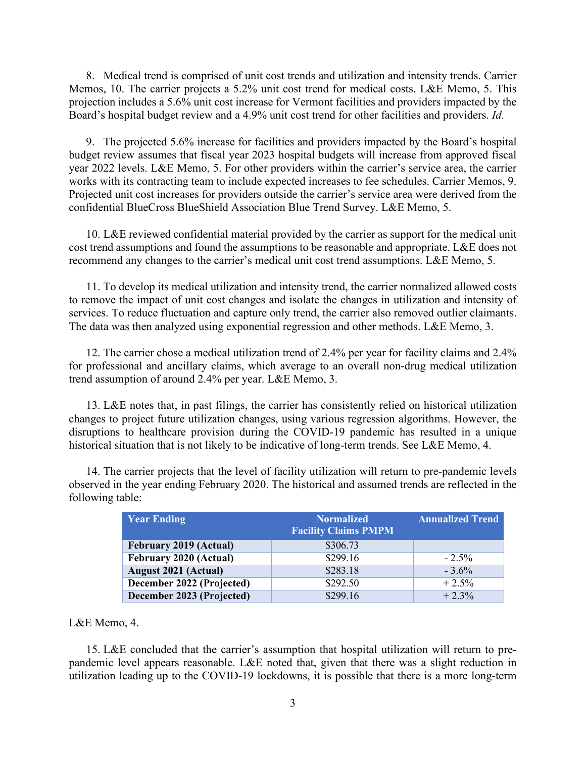8. Medical trend is comprised of unit cost trends and utilization and intensity trends. Carrier Memos, 10. The carrier projects a 5.2% unit cost trend for medical costs. L&E Memo, 5. This projection includes a 5.6% unit cost increase for Vermont facilities and providers impacted by the Board's hospital budget review and a 4.9% unit cost trend for other facilities and providers. *Id.* 

9. The projected 5.6% increase for facilities and providers impacted by the Board's hospital budget review assumes that fiscal year 2023 hospital budgets will increase from approved fiscal year 2022 levels. L&E Memo, 5. For other providers within the carrier's service area, the carrier works with its contracting team to include expected increases to fee schedules. Carrier Memos, 9. Projected unit cost increases for providers outside the carrier's service area were derived from the confidential BlueCross BlueShield Association Blue Trend Survey. L&E Memo, 5.

10. L&E reviewed confidential material provided by the carrier as support for the medical unit cost trend assumptions and found the assumptions to be reasonable and appropriate. L&E does not recommend any changes to the carrier's medical unit cost trend assumptions. L&E Memo, 5.

11. To develop its medical utilization and intensity trend, the carrier normalized allowed costs to remove the impact of unit cost changes and isolate the changes in utilization and intensity of services. To reduce fluctuation and capture only trend, the carrier also removed outlier claimants. The data was then analyzed using exponential regression and other methods. L&E Memo, 3.

12. The carrier chose a medical utilization trend of 2.4% per year for facility claims and 2.4% for professional and ancillary claims, which average to an overall non-drug medical utilization trend assumption of around 2.4% per year. L&E Memo, 3.

13. L&E notes that, in past filings, the carrier has consistently relied on historical utilization changes to project future utilization changes, using various regression algorithms. However, the disruptions to healthcare provision during the COVID-19 pandemic has resulted in a unique historical situation that is not likely to be indicative of long-term trends. See L&E Memo, 4.

14. The carrier projects that the level of facility utilization will return to pre-pandemic levels observed in the year ending February 2020. The historical and assumed trends are reflected in the following table:

| <b>Year Ending</b>            | <b>Normalized</b><br><b>Facility Claims PMPM</b> | <b>Annualized Trend</b> |
|-------------------------------|--------------------------------------------------|-------------------------|
| <b>February 2019 (Actual)</b> | \$306.73                                         |                         |
| <b>February 2020 (Actual)</b> | \$299.16                                         | $-2.5%$                 |
| <b>August 2021 (Actual)</b>   | \$283.18                                         | $-3.6\%$                |
| December 2022 (Projected)     | \$292.50                                         | $+2.5%$                 |
| December 2023 (Projected)     | \$299.16                                         | $+2.3%$                 |

#### L&E Memo, 4.

15. L&E concluded that the carrier's assumption that hospital utilization will return to prepandemic level appears reasonable. L&E noted that, given that there was a slight reduction in utilization leading up to the COVID-19 lockdowns, it is possible that there is a more long-term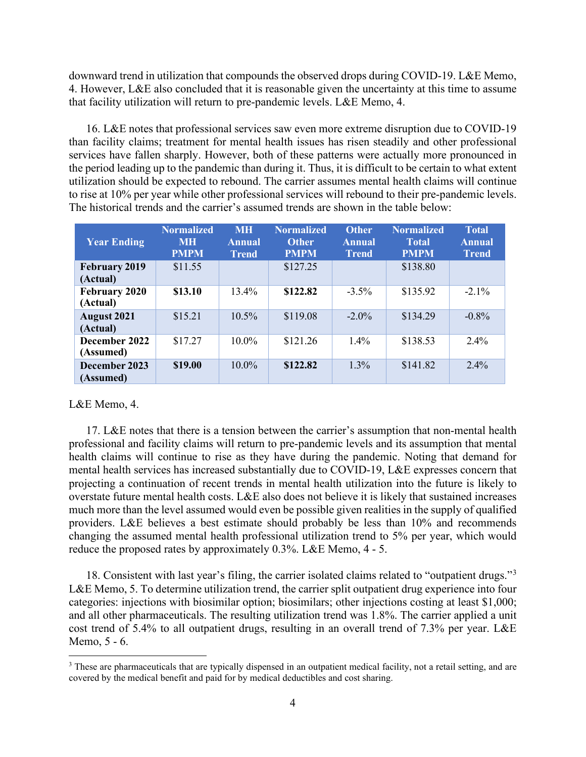downward trend in utilization that compounds the observed drops during COVID-19. L&E Memo, 4. However, L&E also concluded that it is reasonable given the uncertainty at this time to assume that facility utilization will return to pre-pandemic levels. L&E Memo, 4.

16. L&E notes that professional services saw even more extreme disruption due to COVID-19 than facility claims; treatment for mental health issues has risen steadily and other professional services have fallen sharply. However, both of these patterns were actually more pronounced in the period leading up to the pandemic than during it. Thus, it is difficult to be certain to what extent utilization should be expected to rebound. The carrier assumes mental health claims will continue to rise at 10% per year while other professional services will rebound to their pre-pandemic levels. The historical trends and the carrier's assumed trends are shown in the table below:

| <b>Year Ending</b>               | <b>Normalized</b><br><b>MH</b><br><b>PMPM</b> | <b>MH</b><br><b>Annual</b><br><b>Trend</b> | <b>Normalized</b><br><b>Other</b><br><b>PMPM</b> | <b>Other</b><br><b>Annual</b><br><b>Trend</b> | <b>Normalized</b><br><b>Total</b><br><b>PMPM</b> | <b>Total</b><br><b>Annual</b><br><b>Trend</b> |
|----------------------------------|-----------------------------------------------|--------------------------------------------|--------------------------------------------------|-----------------------------------------------|--------------------------------------------------|-----------------------------------------------|
| <b>February 2019</b><br>(Actual) | \$11.55                                       |                                            | \$127.25                                         |                                               | \$138.80                                         |                                               |
| <b>February 2020</b><br>(Actual) | \$13.10                                       | 13.4%                                      | \$122.82                                         | $-3.5\%$                                      | \$135.92                                         | $-2.1\%$                                      |
| <b>August 2021</b><br>(Actual)   | \$15.21                                       | $10.5\%$                                   | \$119.08                                         | $-2.0\%$                                      | \$134.29                                         | $-0.8%$                                       |
| December 2022<br>(Assumed)       | \$17.27                                       | $10.0\%$                                   | \$121.26                                         | $1.4\%$                                       | \$138.53                                         | $2.4\%$                                       |
| December 2023<br>(Assumed)       | \$19.00                                       | $10.0\%$                                   | \$122.82                                         | $1.3\%$                                       | \$141.82                                         | $2.4\%$                                       |

# L&E Memo, 4.

17. L&E notes that there is a tension between the carrier's assumption that non-mental health professional and facility claims will return to pre-pandemic levels and its assumption that mental health claims will continue to rise as they have during the pandemic. Noting that demand for mental health services has increased substantially due to COVID-19, L&E expresses concern that projecting a continuation of recent trends in mental health utilization into the future is likely to overstate future mental health costs. L&E also does not believe it is likely that sustained increases much more than the level assumed would even be possible given realities in the supply of qualified providers. L&E believes a best estimate should probably be less than 10% and recommends changing the assumed mental health professional utilization trend to 5% per year, which would reduce the proposed rates by approximately 0.3%. L&E Memo, 4 - 5.

18. Consistent with last year's filing, the carrier isolated claims related to "outpatient drugs."[3](#page-3-0) L&E Memo, 5. To determine utilization trend, the carrier split outpatient drug experience into four categories: injections with biosimilar option; biosimilars; other injections costing at least \$1,000; and all other pharmaceuticals. The resulting utilization trend was 1.8%. The carrier applied a unit cost trend of 5.4% to all outpatient drugs, resulting in an overall trend of 7.3% per year. L&E Memo, 5 - 6.

<span id="page-3-0"></span><sup>&</sup>lt;sup>3</sup> These are pharmaceuticals that are typically dispensed in an outpatient medical facility, not a retail setting, and are covered by the medical benefit and paid for by medical deductibles and cost sharing.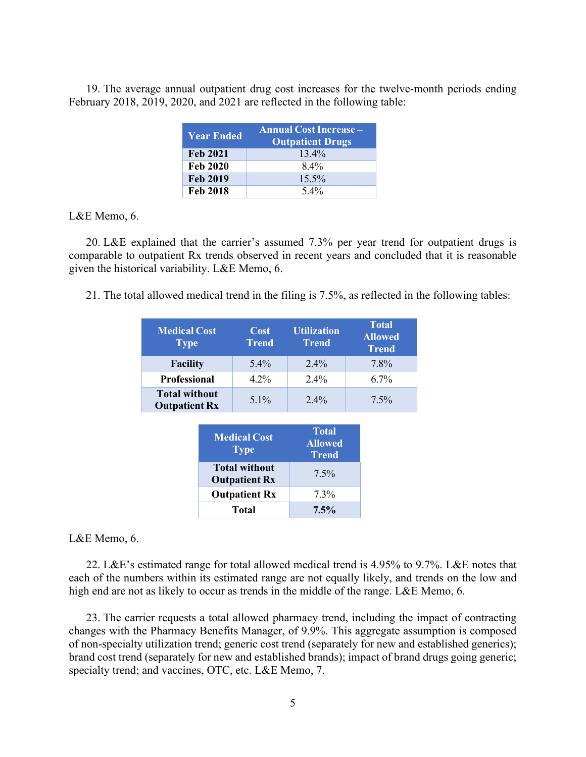19. The average annual outpatient drug cost increases for the twelve-month periods ending February 2018, 2019, 2020, and 2021 are reflected in the following table:

| <b>Year Ended</b> | <b>Annual Cost Increase -</b><br><b>Outpatient Drugs</b> |  |
|-------------------|----------------------------------------------------------|--|
| <b>Feb 2021</b>   | $13.4\%$                                                 |  |
| <b>Feb 2020</b>   | $8.4\%$                                                  |  |
| <b>Feb 2019</b>   | $15.5\%$                                                 |  |
| <b>Feb 2018</b>   | $5.4\%$                                                  |  |

# L&E Memo, 6.

20. L&E explained that the carrier's assumed 7.3% per year trend for outpatient drugs is comparable to outpatient Rx trends observed in recent years and concluded that it is reasonable given the historical variability. L&E Memo, 6.

21. The total allowed medical trend in the filing is 7.5%, as reflected in the following tables:

| <b>Medical Cost</b><br><b>Type</b>           | Cost<br><b>Trend</b> | <b>Utilization</b><br><b>Trend</b> | <b>Total</b><br><b>Allowed</b><br><b>Trend</b> |
|----------------------------------------------|----------------------|------------------------------------|------------------------------------------------|
| <b>Facility</b>                              | $5.4\%$              | $2.4\%$                            | 7.8%                                           |
| <b>Professional</b>                          | $4.2\%$              | $2.4\%$                            | $6.7\%$                                        |
| <b>Total without</b><br><b>Outpatient Rx</b> | $5.1\%$              | $2.4\%$                            | $7.5\%$                                        |

| <b>Medical Cost</b><br><b>Type</b>           | <b>Total</b><br><b>Allowed</b><br><b>Trend</b> |
|----------------------------------------------|------------------------------------------------|
| <b>Total without</b><br><b>Outpatient Rx</b> | $7.5\%$                                        |
| <b>Outpatient Rx</b>                         | $7.3\%$                                        |
| Total                                        | 7.5%                                           |

# L&E Memo, 6.

22. L&E's estimated range for total allowed medical trend is 4.95% to 9.7%. L&E notes that each of the numbers within its estimated range are not equally likely, and trends on the low and high end are not as likely to occur as trends in the middle of the range. L&E Memo, 6.

23. The carrier requests a total allowed pharmacy trend, including the impact of contracting changes with the Pharmacy Benefits Manager, of 9.9%. This aggregate assumption is composed of non-specialty utilization trend; generic cost trend (separately for new and established generics); brand cost trend (separately for new and established brands); impact of brand drugs going generic; specialty trend; and vaccines, OTC, etc. L&E Memo, 7.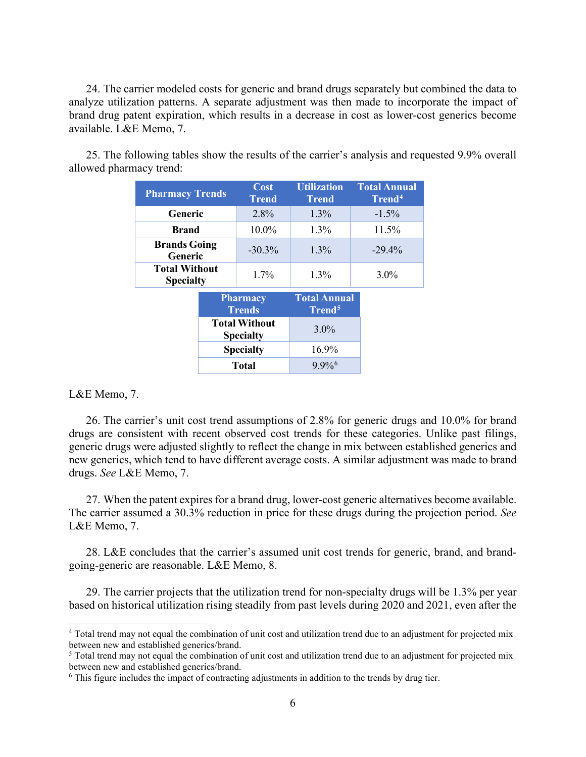24. The carrier modeled costs for generic and brand drugs separately but combined the data to analyze utilization patterns. A separate adjustment was then made to incorporate the impact of brand drug patent expiration, which results in a decrease in cost as lower-cost generics become available. L&E Memo, 7.

25. The following tables show the results of the carrier's analysis and requested 9.9% overall allowed pharmacy trend:

| <b>Pharmacy Trends</b>                   |                                          | Cost<br><b>Trend</b> | <b>Utilization</b><br><b>Trend</b>        | <b>Total Annual</b><br>Trend <sup>4</sup> |
|------------------------------------------|------------------------------------------|----------------------|-------------------------------------------|-------------------------------------------|
| Generic                                  |                                          | 2.8%                 | $1.3\%$                                   | $-1.5\%$                                  |
| <b>Brand</b>                             |                                          | 10.0%                | 1.3%                                      | $11.5\%$                                  |
| <b>Brands Going</b><br>Generic           |                                          | $-30.3\%$            | 1.3%                                      | $-29.4%$                                  |
| <b>Total Without</b><br><b>Specialty</b> |                                          | $1.7\%$              | 1.3%                                      | $3.0\%$                                   |
|                                          | <b>Pharmacy</b><br><b>Trends</b>         |                      | <b>Total Annual</b><br>Trend <sup>5</sup> |                                           |
|                                          | <b>Total Without</b><br><b>Specialty</b> |                      | $3.0\%$                                   |                                           |

**Specialty** 16.9% **Total** 9.9[%6](#page-5-2)

L&E Memo, 7.

26. The carrier's unit cost trend assumptions of 2.8% for generic drugs and 10.0% for brand drugs are consistent with recent observed cost trends for these categories. Unlike past filings, generic drugs were adjusted slightly to reflect the change in mix between established generics and new generics, which tend to have different average costs. A similar adjustment was made to brand drugs. *See* L&E Memo, 7.

27. When the patent expires for a brand drug, lower-cost generic alternatives become available. The carrier assumed a 30.3% reduction in price for these drugs during the projection period. *See*  L&E Memo, 7.

28. L&E concludes that the carrier's assumed unit cost trends for generic, brand, and brandgoing-generic are reasonable. L&E Memo, 8.

29. The carrier projects that the utilization trend for non-specialty drugs will be 1.3% per year based on historical utilization rising steadily from past levels during 2020 and 2021, even after the

<span id="page-5-0"></span><sup>4</sup> Total trend may not equal the combination of unit cost and utilization trend due to an adjustment for projected mix between new and established generics/brand.

<span id="page-5-1"></span><sup>5</sup> Total trend may not equal the combination of unit cost and utilization trend due to an adjustment for projected mix between new and established generics/brand.

<span id="page-5-2"></span><sup>6</sup> This figure includes the impact of contracting adjustments in addition to the trends by drug tier.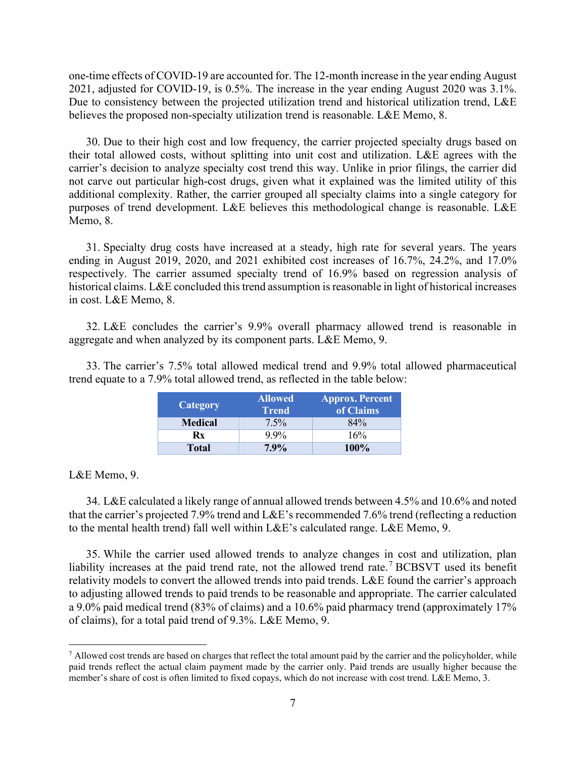one-time effects of COVID-19 are accounted for. The 12-month increase in the year ending August 2021, adjusted for COVID-19, is 0.5%. The increase in the year ending August 2020 was 3.1%. Due to consistency between the projected utilization trend and historical utilization trend, L&E believes the proposed non-specialty utilization trend is reasonable. L&E Memo, 8.

30. Due to their high cost and low frequency, the carrier projected specialty drugs based on their total allowed costs, without splitting into unit cost and utilization. L&E agrees with the carrier's decision to analyze specialty cost trend this way. Unlike in prior filings, the carrier did not carve out particular high-cost drugs, given what it explained was the limited utility of this additional complexity. Rather, the carrier grouped all specialty claims into a single category for purposes of trend development. L&E believes this methodological change is reasonable. L&E Memo, 8.

31. Specialty drug costs have increased at a steady, high rate for several years. The years ending in August 2019, 2020, and 2021 exhibited cost increases of 16.7%, 24.2%, and 17.0% respectively. The carrier assumed specialty trend of 16.9% based on regression analysis of historical claims. L&E concluded this trend assumption is reasonable in light of historical increases in cost. L&E Memo, 8.

32. L&E concludes the carrier's 9.9% overall pharmacy allowed trend is reasonable in aggregate and when analyzed by its component parts. L&E Memo, 9.

33. The carrier's 7.5% total allowed medical trend and 9.9% total allowed pharmaceutical trend equate to a 7.9% total allowed trend, as reflected in the table below:

| Category       | <b>Allowed</b><br><b>Trend</b> | <b>Approx. Percent</b><br>of $\overline{\text{C}}$ <i>laims</i> |
|----------------|--------------------------------|-----------------------------------------------------------------|
| <b>Medical</b> | $7.5\%$                        | 84%                                                             |
| Rx             | $9.9\%$                        | 16%                                                             |
| <b>Total</b>   | 7.9%                           | $100\%$                                                         |

L&E Memo, 9.

34. L&E calculated a likely range of annual allowed trends between 4.5% and 10.6% and noted that the carrier's projected 7.9% trend and L&E's recommended 7.6% trend (reflecting a reduction to the mental health trend) fall well within L&E's calculated range. L&E Memo, 9.

35. While the carrier used allowed trends to analyze changes in cost and utilization, plan liability increases at the paid trend rate, not the allowed trend rate.<sup>[7](#page-6-0)</sup> BCBSVT used its benefit relativity models to convert the allowed trends into paid trends. L&E found the carrier's approach to adjusting allowed trends to paid trends to be reasonable and appropriate. The carrier calculated a 9.0% paid medical trend (83% of claims) and a 10.6% paid pharmacy trend (approximately 17% of claims), for a total paid trend of 9.3%. L&E Memo, 9.

<span id="page-6-0"></span> $<sup>7</sup>$  Allowed cost trends are based on charges that reflect the total amount paid by the carrier and the policyholder, while</sup> paid trends reflect the actual claim payment made by the carrier only. Paid trends are usually higher because the member's share of cost is often limited to fixed copays, which do not increase with cost trend. L&E Memo, 3.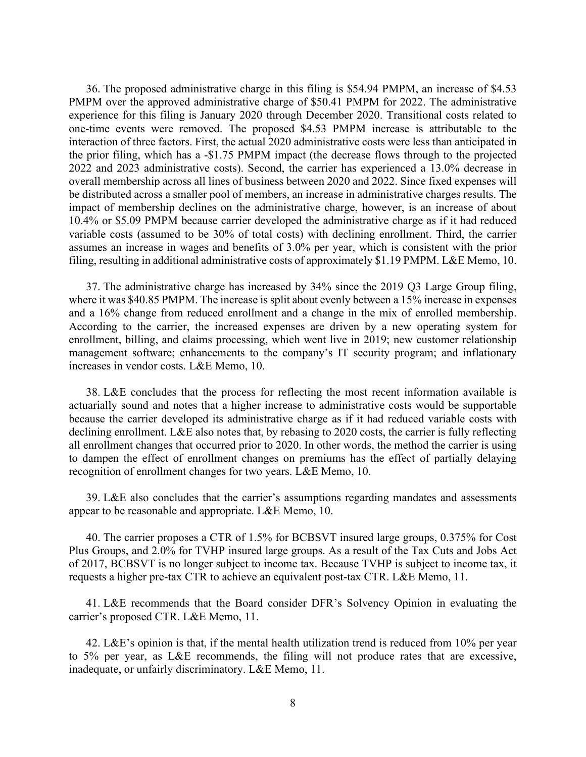36. The proposed administrative charge in this filing is \$54.94 PMPM, an increase of \$4.53 PMPM over the approved administrative charge of \$50.41 PMPM for 2022. The administrative experience for this filing is January 2020 through December 2020. Transitional costs related to one-time events were removed. The proposed \$4.53 PMPM increase is attributable to the interaction of three factors. First, the actual 2020 administrative costs were less than anticipated in the prior filing, which has a -\$1.75 PMPM impact (the decrease flows through to the projected 2022 and 2023 administrative costs). Second, the carrier has experienced a 13.0% decrease in overall membership across all lines of business between 2020 and 2022. Since fixed expenses will be distributed across a smaller pool of members, an increase in administrative charges results. The impact of membership declines on the administrative charge, however, is an increase of about 10.4% or \$5.09 PMPM because carrier developed the administrative charge as if it had reduced variable costs (assumed to be 30% of total costs) with declining enrollment. Third, the carrier assumes an increase in wages and benefits of 3.0% per year, which is consistent with the prior filing, resulting in additional administrative costs of approximately \$1.19 PMPM. L&E Memo, 10.

37. The administrative charge has increased by 34% since the 2019 Q3 Large Group filing, where it was \$40.85 PMPM. The increase is split about evenly between a 15% increase in expenses and a 16% change from reduced enrollment and a change in the mix of enrolled membership. According to the carrier, the increased expenses are driven by a new operating system for enrollment, billing, and claims processing, which went live in 2019; new customer relationship management software; enhancements to the company's IT security program; and inflationary increases in vendor costs. L&E Memo, 10.

38. L&E concludes that the process for reflecting the most recent information available is actuarially sound and notes that a higher increase to administrative costs would be supportable because the carrier developed its administrative charge as if it had reduced variable costs with declining enrollment. L&E also notes that, by rebasing to 2020 costs, the carrier is fully reflecting all enrollment changes that occurred prior to 2020. In other words, the method the carrier is using to dampen the effect of enrollment changes on premiums has the effect of partially delaying recognition of enrollment changes for two years. L&E Memo, 10.

39. L&E also concludes that the carrier's assumptions regarding mandates and assessments appear to be reasonable and appropriate. L&E Memo, 10.

40. The carrier proposes a CTR of 1.5% for BCBSVT insured large groups, 0.375% for Cost Plus Groups, and 2.0% for TVHP insured large groups. As a result of the Tax Cuts and Jobs Act of 2017, BCBSVT is no longer subject to income tax. Because TVHP is subject to income tax, it requests a higher pre-tax CTR to achieve an equivalent post-tax CTR. L&E Memo, 11.

41. L&E recommends that the Board consider DFR's Solvency Opinion in evaluating the carrier's proposed CTR. L&E Memo, 11.

42. L&E's opinion is that, if the mental health utilization trend is reduced from  $10\%$  per year to 5% per year, as L&E recommends, the filing will not produce rates that are excessive, inadequate, or unfairly discriminatory. L&E Memo, 11.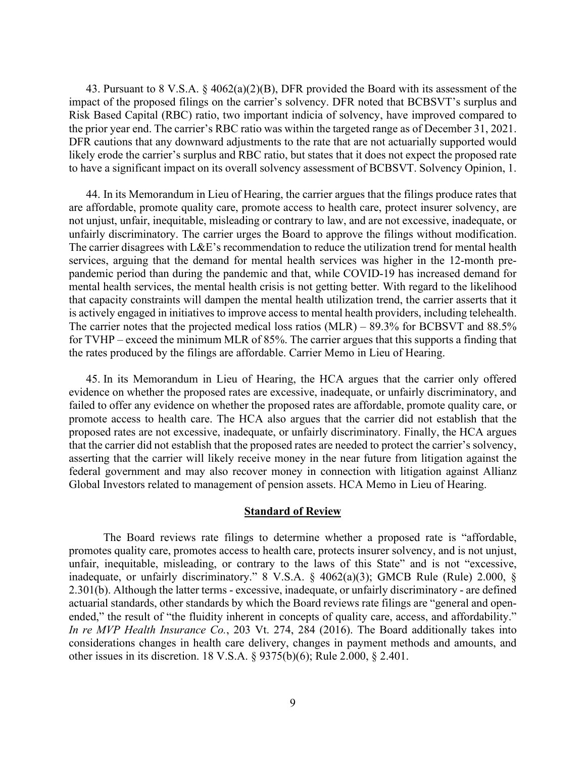43. Pursuant to 8 V.S.A. § 4062(a)(2)(B), DFR provided the Board with its assessment of the impact of the proposed filings on the carrier's solvency. DFR noted that BCBSVT's surplus and Risk Based Capital (RBC) ratio, two important indicia of solvency, have improved compared to the prior year end. The carrier's RBC ratio was within the targeted range as of December 31, 2021. DFR cautions that any downward adjustments to the rate that are not actuarially supported would likely erode the carrier's surplus and RBC ratio, but states that it does not expect the proposed rate to have a significant impact on its overall solvency assessment of BCBSVT. Solvency Opinion, 1.

44. In its Memorandum in Lieu of Hearing, the carrier argues that the filings produce rates that are affordable, promote quality care, promote access to health care, protect insurer solvency, are not unjust, unfair, inequitable, misleading or contrary to law, and are not excessive, inadequate, or unfairly discriminatory. The carrier urges the Board to approve the filings without modification. The carrier disagrees with L&E's recommendation to reduce the utilization trend for mental health services, arguing that the demand for mental health services was higher in the 12-month prepandemic period than during the pandemic and that, while COVID-19 has increased demand for mental health services, the mental health crisis is not getting better. With regard to the likelihood that capacity constraints will dampen the mental health utilization trend, the carrier asserts that it is actively engaged in initiatives to improve access to mental health providers, including telehealth. The carrier notes that the projected medical loss ratios (MLR) – 89.3% for BCBSVT and 88.5% for TVHP – exceed the minimum MLR of 85%. The carrier argues that this supports a finding that the rates produced by the filings are affordable. Carrier Memo in Lieu of Hearing.

45. In its Memorandum in Lieu of Hearing, the HCA argues that the carrier only offered evidence on whether the proposed rates are excessive, inadequate, or unfairly discriminatory, and failed to offer any evidence on whether the proposed rates are affordable, promote quality care, or promote access to health care. The HCA also argues that the carrier did not establish that the proposed rates are not excessive, inadequate, or unfairly discriminatory. Finally, the HCA argues that the carrier did not establish that the proposed rates are needed to protect the carrier's solvency, asserting that the carrier will likely receive money in the near future from litigation against the federal government and may also recover money in connection with litigation against Allianz Global Investors related to management of pension assets. HCA Memo in Lieu of Hearing.

# **Standard of Review**

The Board reviews rate filings to determine whether a proposed rate is "affordable, promotes quality care, promotes access to health care, protects insurer solvency, and is not unjust, unfair, inequitable, misleading, or contrary to the laws of this State" and is not "excessive, inadequate, or unfairly discriminatory." 8 V.S.A. § 4062(a)(3); GMCB Rule (Rule) 2.000, § 2.301(b). Although the latter terms - excessive, inadequate, or unfairly discriminatory - are defined actuarial standards, other standards by which the Board reviews rate filings are "general and openended," the result of "the fluidity inherent in concepts of quality care, access, and affordability." *In re MVP Health Insurance Co.*, 203 Vt. 274, 284 (2016). The Board additionally takes into considerations changes in health care delivery, changes in payment methods and amounts, and other issues in its discretion. 18 V.S.A. § 9375(b)(6); Rule 2.000, § 2.401.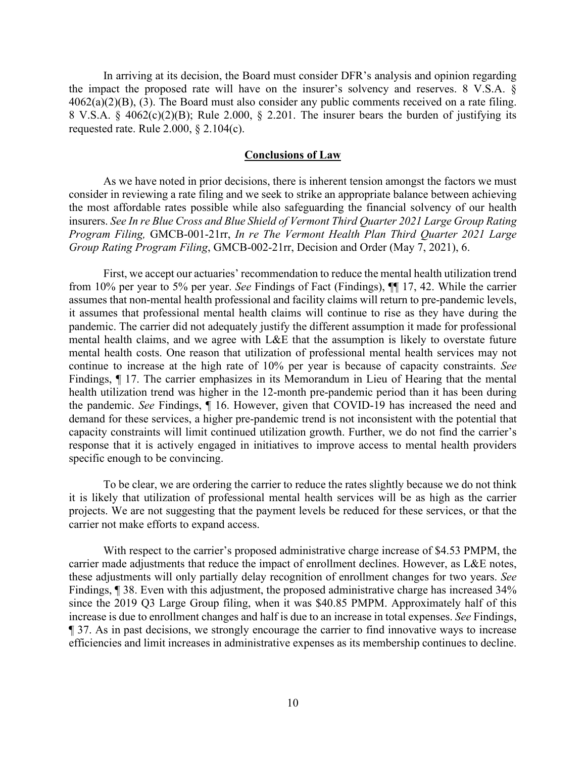In arriving at its decision, the Board must consider DFR's analysis and opinion regarding the impact the proposed rate will have on the insurer's solvency and reserves. 8 V.S.A. §  $4062(a)(2)(B)$ , (3). The Board must also consider any public comments received on a rate filing. 8 V.S.A. § 4062(c)(2)(B); Rule 2.000, § 2.201. The insurer bears the burden of justifying its requested rate. Rule 2.000, § 2.104(c).

#### **Conclusions of Law**

As we have noted in prior decisions, there is inherent tension amongst the factors we must consider in reviewing a rate filing and we seek to strike an appropriate balance between achieving the most affordable rates possible while also safeguarding the financial solvency of our health insurers. *See In re Blue Cross and Blue Shield of Vermont Third Quarter 2021 Large Group Rating Program Filing,* GMCB-001-21rr, *In re The Vermont Health Plan Third Quarter 2021 Large Group Rating Program Filing*, GMCB-002-21rr, Decision and Order (May 7, 2021), 6.

First, we accept our actuaries' recommendation to reduce the mental health utilization trend from 10% per year to 5% per year. *See* Findings of Fact (Findings), ¶¶ 17, 42. While the carrier assumes that non-mental health professional and facility claims will return to pre-pandemic levels, it assumes that professional mental health claims will continue to rise as they have during the pandemic. The carrier did not adequately justify the different assumption it made for professional mental health claims, and we agree with L&E that the assumption is likely to overstate future mental health costs. One reason that utilization of professional mental health services may not continue to increase at the high rate of 10% per year is because of capacity constraints. *See*  Findings, ¶ 17. The carrier emphasizes in its Memorandum in Lieu of Hearing that the mental health utilization trend was higher in the 12-month pre-pandemic period than it has been during the pandemic. *See* Findings, ¶ 16. However, given that COVID-19 has increased the need and demand for these services, a higher pre-pandemic trend is not inconsistent with the potential that capacity constraints will limit continued utilization growth. Further, we do not find the carrier's response that it is actively engaged in initiatives to improve access to mental health providers specific enough to be convincing.

To be clear, we are ordering the carrier to reduce the rates slightly because we do not think it is likely that utilization of professional mental health services will be as high as the carrier projects. We are not suggesting that the payment levels be reduced for these services, or that the carrier not make efforts to expand access.

With respect to the carrier's proposed administrative charge increase of \$4.53 PMPM, the carrier made adjustments that reduce the impact of enrollment declines. However, as L&E notes, these adjustments will only partially delay recognition of enrollment changes for two years. *See*  Findings, ¶ 38. Even with this adjustment, the proposed administrative charge has increased 34% since the 2019 Q3 Large Group filing, when it was \$40.85 PMPM. Approximately half of this increase is due to enrollment changes and half is due to an increase in total expenses. *See* Findings, ¶ 37. As in past decisions, we strongly encourage the carrier to find innovative ways to increase efficiencies and limit increases in administrative expenses as its membership continues to decline.